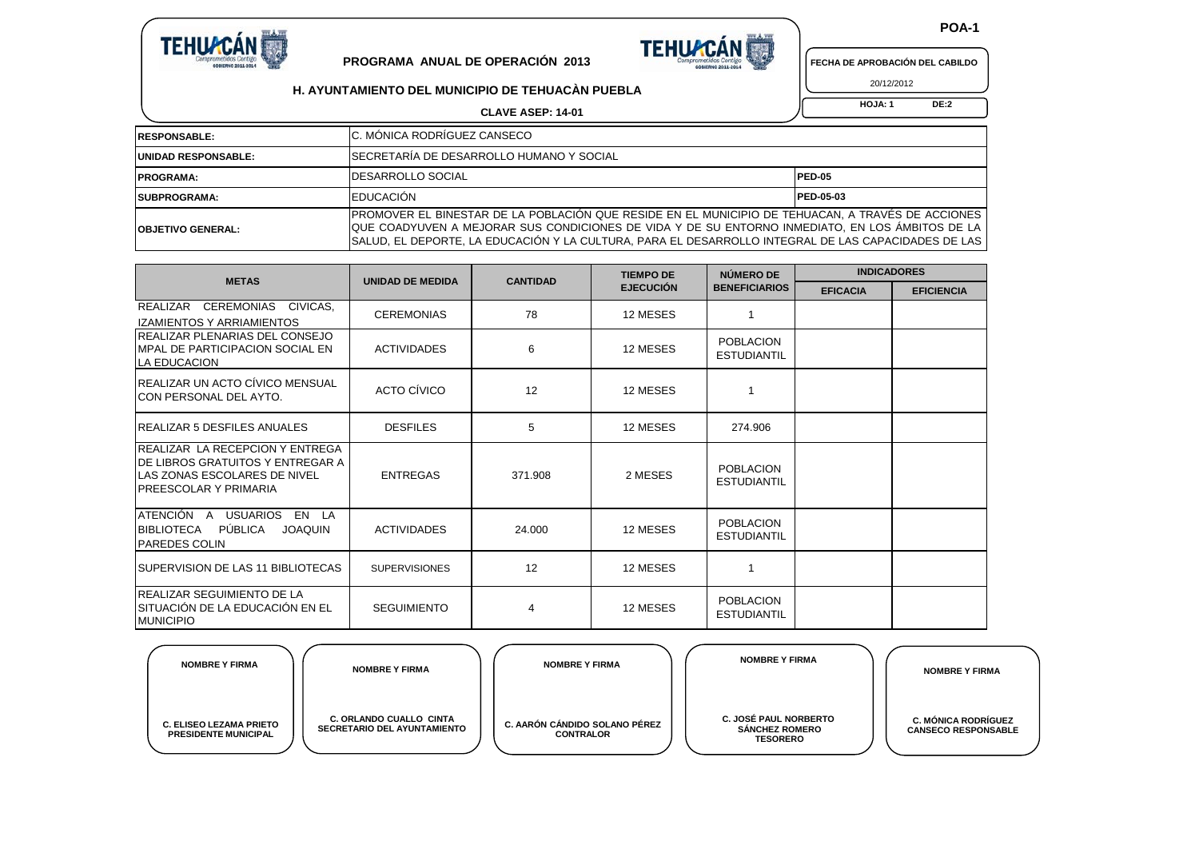





**H. AYUNTAMIENTO DEL MUNICIPIO DE TEHUACÀN PUEBLA**

20/12/2012

 **HOJA: 1 DE:2**

| <b>RESPONSABLE:</b>        | IC. MONICA RODRIGUEZ CANSECO                                                                                                                                                                                                                                                                                  |                  |
|----------------------------|---------------------------------------------------------------------------------------------------------------------------------------------------------------------------------------------------------------------------------------------------------------------------------------------------------------|------------------|
| <b>UNIDAD RESPONSABLE:</b> | SECRETARÍA DE DESARROLLO HUMANO Y SOCIAL                                                                                                                                                                                                                                                                      |                  |
| <b>PROGRAMA:</b>           | <b>IDESARROLLO SOCIAL</b>                                                                                                                                                                                                                                                                                     | <b>PED-05</b>    |
| <b>ISUBPROGRAMA:</b>       | EDUCACIÓN                                                                                                                                                                                                                                                                                                     | <b>PED-05-03</b> |
| <b>IOBJETIVO GENERAL:</b>  | PROMOVER EL BINESTAR DE LA POBLACIÓN QUE RESIDE EN EL MUNICIPIO DE TEHUACAN, A TRAVÉS DE ACCIONES<br>TQUE COADYUVEN A MEJORAR SUS CONDICIONES DE VIDA Y DE SU ENTORNO INMEDIATO. EN LOS ÂMBITOS DE LA<br>ISALUD. EL DEPORTE. LA EDUCACIÓN Y LA CULTURA. PARA EL DESARROLLO INTEGRAL DE LAS CAPACIDADES DE LAS |                  |

**CLAVE ASEP: 14-01**

| <b>METAS</b>                                                                                                                                      | <b>UNIDAD DE MEDIDA</b> | <b>CANTIDAD</b> | <b>TIEMPO DE</b> | NÚMERO DE                              | <b>INDICADORES</b> |                   |  |
|---------------------------------------------------------------------------------------------------------------------------------------------------|-------------------------|-----------------|------------------|----------------------------------------|--------------------|-------------------|--|
|                                                                                                                                                   |                         |                 | <b>EJECUCIÓN</b> | <b>BENEFICIARIOS</b>                   | <b>EFICACIA</b>    | <b>EFICIENCIA</b> |  |
| CIVICAS,<br>REALIZAR<br><b>CEREMONIAS</b><br><b>IZAMIENTOS Y ARRIAMIENTOS</b>                                                                     | <b>CEREMONIAS</b>       | 78              | 12 MESES         | 1                                      |                    |                   |  |
| <b>IREALIZAR PLENARIAS DEL CONSEJO</b><br><b>IMPAL DE PARTICIPACION SOCIAL EN</b><br>LA EDUCACION                                                 | <b>ACTIVIDADES</b>      | 6               | 12 MESES         | <b>POBLACION</b><br><b>ESTUDIANTIL</b> |                    |                   |  |
| <b>IREALIZAR UN ACTO CÍVICO MENSUAL</b><br><b>ICON PERSONAL DEL AYTO.</b>                                                                         | ACTO CÍVICO             | 12              | 12 MESES         |                                        |                    |                   |  |
| <b>IREALIZAR 5 DESFILES ANUALES</b>                                                                                                               | <b>DESFILES</b>         | 5               | 12 MESES         | 274.906                                |                    |                   |  |
| REALIZAR LA RECEPCION Y ENTREGA<br><b>DE LIBROS GRATUITOS Y ENTREGAR A</b><br><b>LAS ZONAS ESCOLARES DE NIVEL</b><br><b>PREESCOLAR Y PRIMARIA</b> | <b>ENTREGAS</b>         | 371.908         | 2 MESES          | <b>POBLACION</b><br><b>ESTUDIANTIL</b> |                    |                   |  |
| ATENCIÓN A<br><b>USUARIOS</b><br>EN LA<br>PÚBLICA<br><b>BIBLIOTECA</b><br><b>JOAQUIN</b><br><b>PAREDES COLIN</b>                                  | <b>ACTIVIDADES</b>      | 24.000          | 12 MESES         | <b>POBLACION</b><br><b>ESTUDIANTIL</b> |                    |                   |  |
| ISUPERVISION DE LAS 11 BIBLIOTECAS                                                                                                                | <b>SUPERVISIONES</b>    | 12              | 12 MESES         |                                        |                    |                   |  |
| <b>REALIZAR SEGUIMIENTO DE LA</b><br>ISITUACIÓN DE LA EDUCACIÓN EN EL<br><b>MUNICIPIO</b>                                                         | <b>SEGUIMIENTO</b>      | 4               | 12 MESES         | <b>POBLACION</b><br><b>ESTUDIANTIL</b> |                    |                   |  |

| <b>NOMBRE Y FIRMA</b>                                         | <b>NOMBRE Y FIRMA</b>                                                | <b>NOMBRE Y FIRMA</b>                             | <b>NOMBRE Y FIRMA</b>                                                    | <b>NOMBRE Y FIRMA</b>                                    |
|---------------------------------------------------------------|----------------------------------------------------------------------|---------------------------------------------------|--------------------------------------------------------------------------|----------------------------------------------------------|
| <b>C. ELISEO LEZAMA PRIETO</b><br><b>PRESIDENTE MUNICIPAL</b> | <b>C. ORLANDO CUALLO CINTA</b><br><b>SECRETARIO DEL AYUNTAMIENTO</b> | C. AARÓN CÁNDIDO SOLANO PÉREZ<br><b>CONTRALOR</b> | <b>C. JOSÉ PAUL NORBERTO</b><br><b>SÁNCHEZ ROMERO</b><br><b>TESORERO</b> | <b>C. MÓNICA RODRÍGUEZ</b><br><b>CANSECO RESPONSABLE</b> |